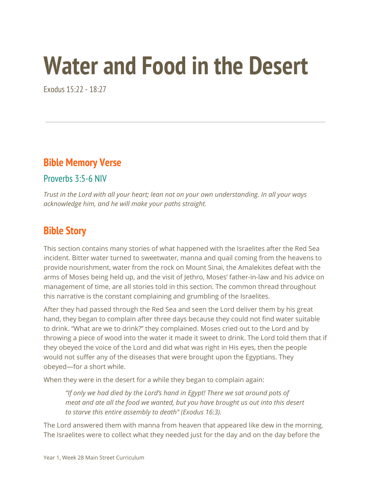# **Water and Food in the Desert**

Exodus 15:22 - 18:27

### **Bible Memory Verse**

Proverbs 3:5-6 NIV

*Trust in the Lord with all your heart; lean not on your own understanding. In all your ways acknowledge him, and he will make your paths straight.*

### **Bible Story**

This section contains many stories of what happened with the Israelites after the Red Sea incident. Bitter water turned to sweetwater, manna and quail coming from the heavens to provide nourishment, water from the rock on Mount Sinai, the Amalekites defeat with the arms of Moses being held up, and the visit of Jethro, Moses' father-in-law and his advice on management of time, are all stories told in this section. The common thread throughout this narrative is the constant complaining and grumbling of the Israelites.

After they had passed through the Red Sea and seen the Lord deliver them by his great hand, they began to complain after three days because they could not find water suitable to drink. "What are we to drink?" they complained. Moses cried out to the Lord and by throwing a piece of wood into the water it made it sweet to drink. The Lord told them that if they obeyed the voice of the Lord and did what was right in His eyes, then the people would not suffer any of the diseases that were brought upon the Egyptians. They obeyed—for a short while.

When they were in the desert for a while they began to complain again:

*"If only we had died by the Lord's hand in Egypt! There we sat around pots of meat and ate all the food we wanted, but you have brought us out into this desert to starve this entire assembly to death" (Exodus 16:3).*

The Lord answered them with manna from heaven that appeared like dew in the morning. The Israelites were to collect what they needed just for the day and on the day before the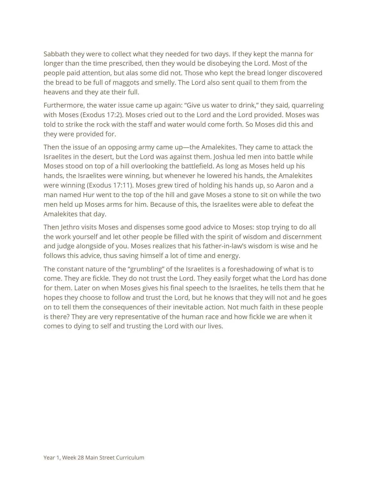Sabbath they were to collect what they needed for two days. If they kept the manna for longer than the time prescribed, then they would be disobeying the Lord. Most of the people paid attention, but alas some did not. Those who kept the bread longer discovered the bread to be full of maggots and smelly. The Lord also sent quail to them from the heavens and they ate their full.

Furthermore, the water issue came up again: "Give us water to drink," they said, quarreling with Moses (Exodus 17:2). Moses cried out to the Lord and the Lord provided. Moses was told to strike the rock with the staff and water would come forth. So Moses did this and they were provided for.

Then the issue of an opposing army came up—the Amalekites. They came to attack the Israelites in the desert, but the Lord was against them. Joshua led men into battle while Moses stood on top of a hill overlooking the battlefield. As long as Moses held up his hands, the Israelites were winning, but whenever he lowered his hands, the Amalekites were winning (Exodus 17:11). Moses grew tired of holding his hands up, so Aaron and a man named Hur went to the top of the hill and gave Moses a stone to sit on while the two men held up Moses arms for him. Because of this, the Israelites were able to defeat the Amalekites that day.

Then Jethro visits Moses and dispenses some good advice to Moses: stop trying to do all the work yourself and let other people be filled with the spirit of wisdom and discernment and judge alongside of you. Moses realizes that his father-in-law's wisdom is wise and he follows this advice, thus saving himself a lot of time and energy.

The constant nature of the "grumbling" of the Israelites is a foreshadowing of what is to come. They are fickle. They do not trust the Lord. They easily forget what the Lord has done for them. Later on when Moses gives his final speech to the Israelites, he tells them that he hopes they choose to follow and trust the Lord, but he knows that they will not and he goes on to tell them the consequences of their inevitable action. Not much faith in these people is there? They are very representative of the human race and how fickle we are when it comes to dying to self and trusting the Lord with our lives.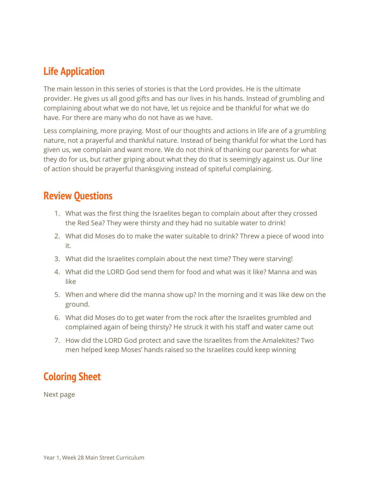### **Life Application**

The main lesson in this series of stories is that the Lord provides. He is the ultimate provider. He gives us all good gifts and has our lives in his hands. Instead of grumbling and complaining about what we do not have, let us rejoice and be thankful for what we do have. For there are many who do not have as we have.

Less complaining, more praying. Most of our thoughts and actions in life are of a grumbling nature, not a prayerful and thankful nature. Instead of being thankful for what the Lord has given us, we complain and want more. We do not think of thanking our parents for what they do for us, but rather griping about what they do that is seemingly against us. Our line of action should be prayerful thanksgiving instead of spiteful complaining.

#### **Review Questions**

- 1. What was the first thing the Israelites began to complain about after they crossed the Red Sea? They were thirsty and they had no suitable water to drink!
- 2. What did Moses do to make the water suitable to drink? Threw a piece of wood into it.
- 3. What did the Israelites complain about the next time? They were starving!
- 4. What did the LORD God send them for food and what was it like? Manna and was like
- 5. When and where did the manna show up? In the morning and it was like dew on the ground.
- 6. What did Moses do to get water from the rock after the Israelites grumbled and complained again of being thirsty? He struck it with his staff and water came out
- 7. How did the LORD God protect and save the Israelites from the Amalekites? Two men helped keep Moses' hands raised so the Israelites could keep winning

## **Coloring Sheet**

Next page